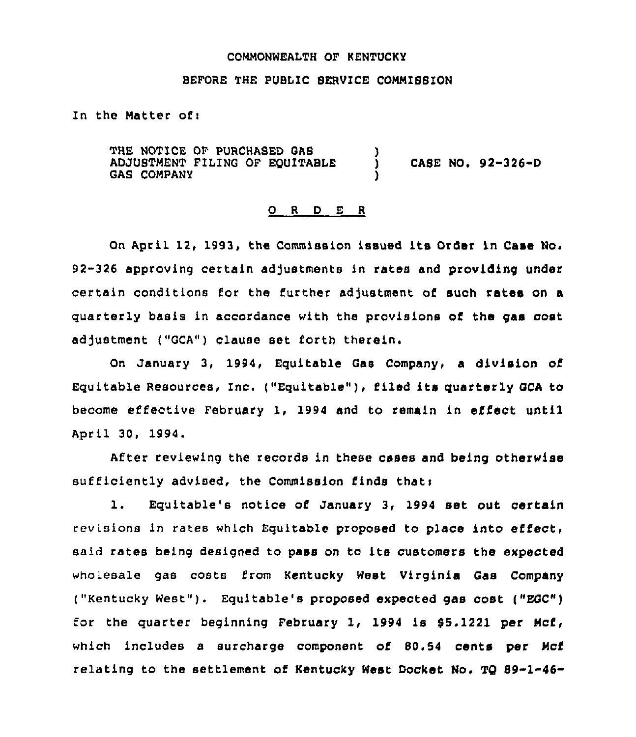## COMMONWEALTH OF KENTUCKY

## BEFORE THE PUBLIC SERVICE COMMISSION

In the Matter of:

THE NOTICE OF PURCHASED GAS ADJUSTMENT FILING OF EOUITABLE GAS COMPANY ) CASE NO. 92-326-D )

#### 0 <sup>R</sup> <sup>D</sup> E <sup>R</sup>

Qn April 12, 1993, the Commission issued its Order in Case No. 92-326 approving certain adjustments in rates and providing under certain conditions for the further adjustment of such rates on a quarterly basis in accordance with the provisions of the gas cost adjustment ("GCA") clause set forth therein.

On January 3, 1994, Equitable Gas Company, a division of Equitable Resources, Inc. ("Equitable" ), filed its quarterly GCA to become effective February 1, 1994 and to remain in effect until April 30, 1994.

After reviewing the records in these cases and being otherwise sufficiently advised, the Commission finds that;

l. Equitable's notice of January 3, <sup>1994</sup> set out certain revisions in rates which Equitable proposed to place into effect, said rates being designed to pass on to its customers the expected wholesale gas costs from Kentucky West Virginia Gas Company ("Kentucky West" ). Equitable's proposed expected gas cost ("EGC") for the quarter beginning February 1, 1994 is  $$5.1221$  per Mcf, which includes a surcharge component of 80.54 cents per Mcf relating to the settlement of Kentucky West Docket No. TQ 69-1-46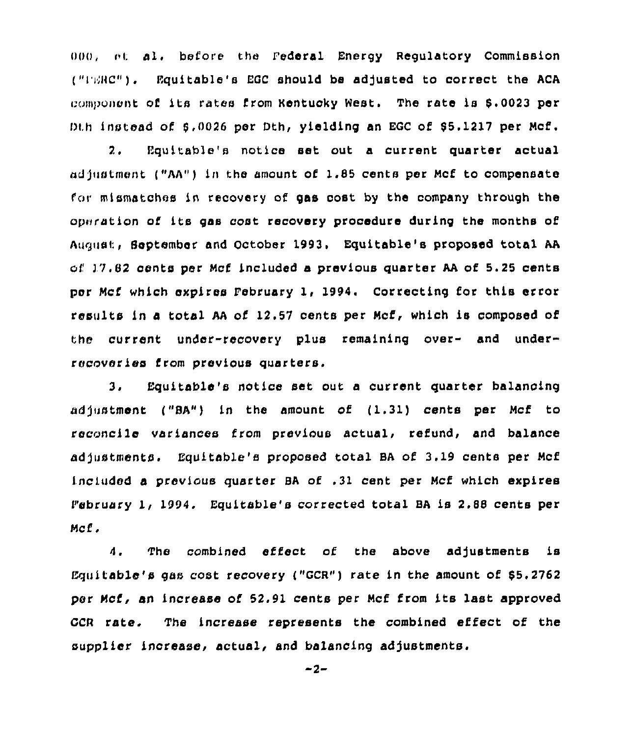$000$ , at al. before the Federal Energy Regulatory Commission ("FERC"). Equitable's EGC should be adjusted to correct the ACA component of its rates from Kentucky West. The rate is \$.0023 per Dth instead of 8,0026 per Dth, yielding an EGC of \$5.1217 per Mcf.

2. Equitable's notice set out a current quarter actual nd)ustment ("AA") in the amount of 1.85 cents per Mcf to compensate for mlsmatchos in recovery of gas cost by the company through the operation of its gas cost recovery procedure during the months of August, September and October 1993. Equitable's proposed total AA of  $17.82$  cents per Mcf included a previous quarter AA of 5.25 cents per Mcf which expires February 1, 1994. Correcting for this error results in a total AA of 12.57 cents per Mcf, which is composed of the current under-recovery plus remaining over- and underrecoveries from previous quarters,

3, Equitable's notice set out a current quarter balancing adjustment ("BA") in the amount of  $(1.31)$  cents per Mcf to reconcile variances from previous actual, refund, and balance adjustments. Equitable's proposed total BA of 3.19 cents per Mcf included a previous quarter BA of .31 cent per Mcf which expires P'ebruary 1< 1994. Equitable's corrected total BA is 2.88 cents per Mcf.

4. The combined effect of the above adjustments is Equitable's gas cost recovery ("GCR") rate in the amount of 85.2762 psr Mcf, an increase of 52.91 cents per Mcf from its last approved GCR rate. The increase represents the combined effect of the supplier increase, actual, and balancing adjustments.

 $-2-$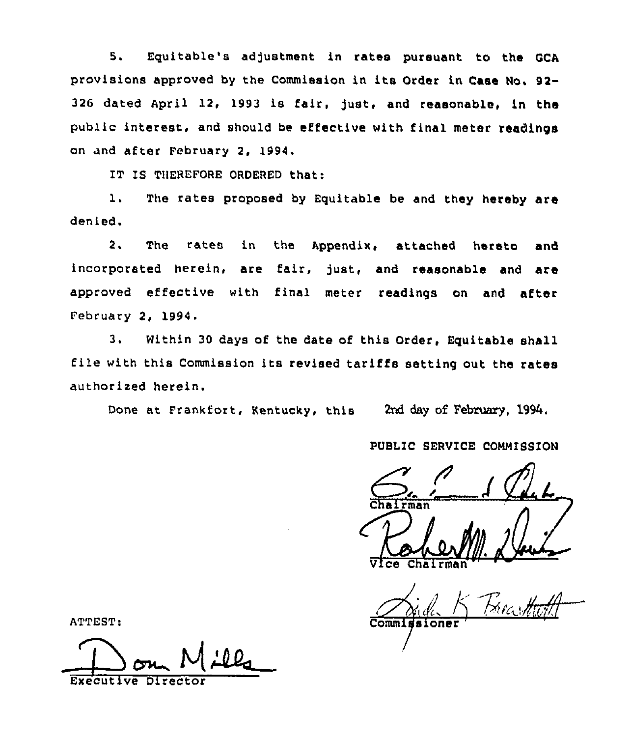5. Equitable's adjustment in rates pursuant to the QCA provisions approved by the Commission in its Order ln Case No, 92- 326 dated April 12, 1993 ls fair, Just, and reasonable, ln the public interest, and should be effective with final meter readinos on und after February 2, 1994.

IT IS TNEREFORE ORDERED that:

1. The rates proposed by Equitable be and they hereby are denied.

2, The rates in the Appendix, attached hereto and incorporated herein, are fair, just, and reasonable and are approved effective with final meter readings on and after February 2, 1994

Within 30 days of the date of this Order, Equitable shall  $3.$ file with this Commission its revised tariffs setting out the rates authorized herein.

Done at Frankfort, Kentucky, this 2nd day of February, 1994.

# PUBLIC SERVICE COMMISSION

man  $\sqrt{1 - \frac{1}{n}}$ <br> $\sqrt{1 - \frac{1}{n}}$ 

Commi oner

ATTEST:

Executive Direct